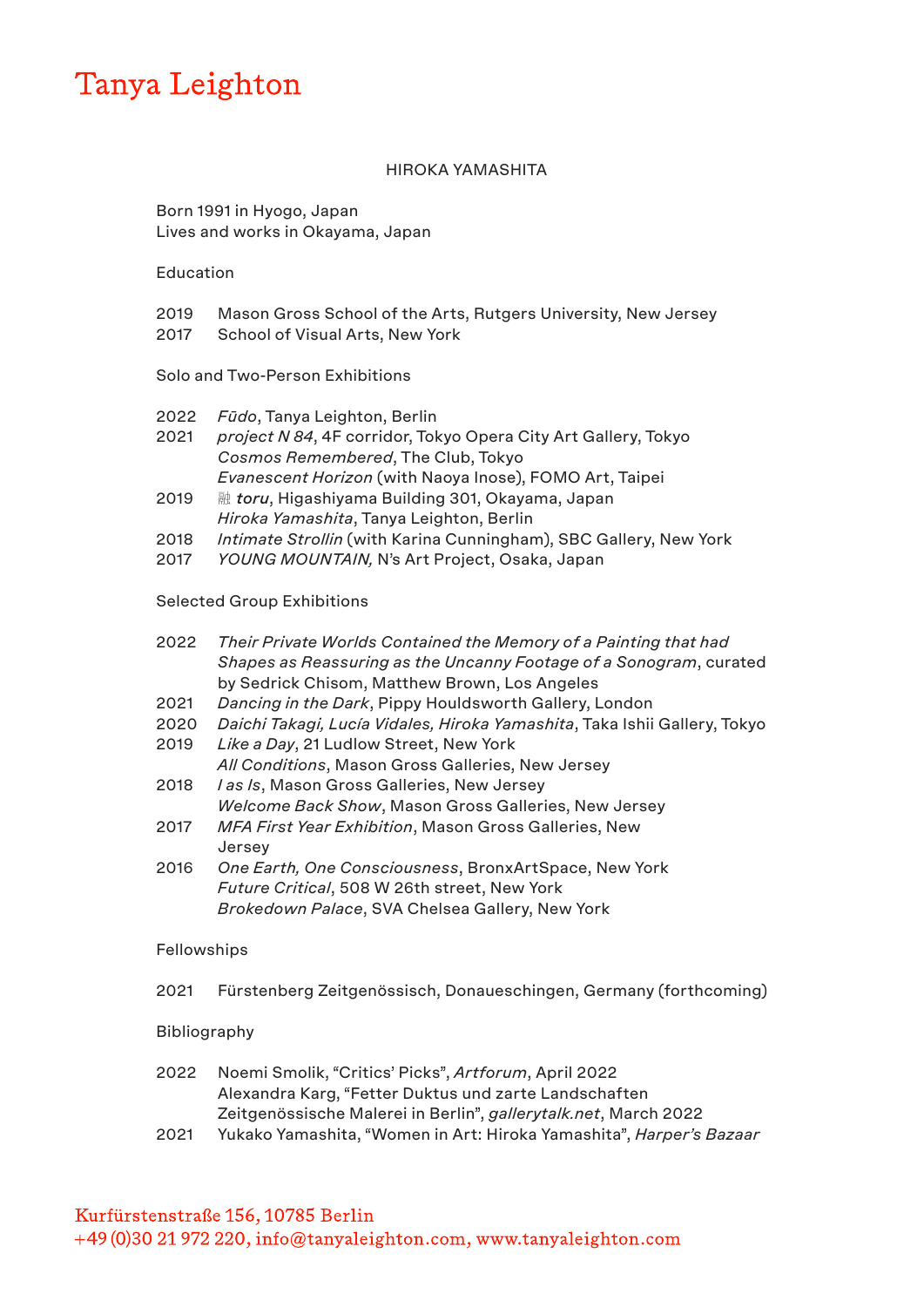## Tanya Leighton

#### HIROKA YAMASHITA

Born 1991 in Hyogo, Japan Lives and works in Okayama, Japan

Education

- 2019 Mason Gross School of the Arts, Rutgers University, New Jersey
- 2017 School of Visual Arts, New York

#### Solo and Two-Person Exhibitions

- 2022 *Fūdo*, Tanya Leighton, Berlin
- 2021 *project N 84*, 4F corridor, Tokyo Opera City Art Gallery, Tokyo *Cosmos Remembered*, The Club, Tokyo *Evanescent Horizon* (with Naoya Inose), FOMO Art, Taipei
- 2019 融 *toru*, Higashiyama Building 301, Okayama, Japan *Hiroka Yamashita*, Tanya Leighton, Berlin
- 2018 *Intimate Strollin* (with Karina Cunningham), SBC Gallery, New York
- 2017 *YOUNG MOUNTAIN,* N's Art Project, Osaka, Japan

#### Selected Group Exhibitions

| 2022        | Their Private Worlds Contained the Memory of a Painting that had          |
|-------------|---------------------------------------------------------------------------|
|             | Shapes as Reassuring as the Uncanny Footage of a Sonogram, curated        |
|             | by Sedrick Chisom, Matthew Brown, Los Angeles                             |
| 2021        | Dancing in the Dark, Pippy Houldsworth Gallery, London                    |
| 2020        | Daichi Takagi, Lucía Vidales, Hiroka Yamashita, Taka Ishii Gallery, Tokyo |
| 2019        | Like a Day, 21 Ludlow Street, New York                                    |
|             | All Conditions, Mason Gross Galleries, New Jersey                         |
| 2018        | I as Is, Mason Gross Galleries, New Jersey                                |
|             | Welcome Back Show, Mason Gross Galleries, New Jersey                      |
| 2017        | MFA First Year Exhibition, Mason Gross Galleries, New                     |
|             | Jersey                                                                    |
| 2016        | One Earth, One Consciousness, BronxArtSpace, New York                     |
|             | Future Critical, 508 W 26th street, New York                              |
|             | Brokedown Palace, SVA Chelsea Gallery, New York                           |
| Fellowships |                                                                           |

### 2021 Fürstenberg Zeitgenössisch, Donaueschingen, Germany (forthcoming)

#### **Bibliography**

- 2022 Noemi Smolik, "Critics' Picks", *Artforum*, April 2022 Alexandra Karg, "Fetter Duktus und zarte Landschaften Zeitgenössische Malerei in Berlin", *gallerytalk.net*, March 2022
- 2021 Yukako Yamashita, "Women in Art: Hiroka Yamashita", *Harper's Bazaar*